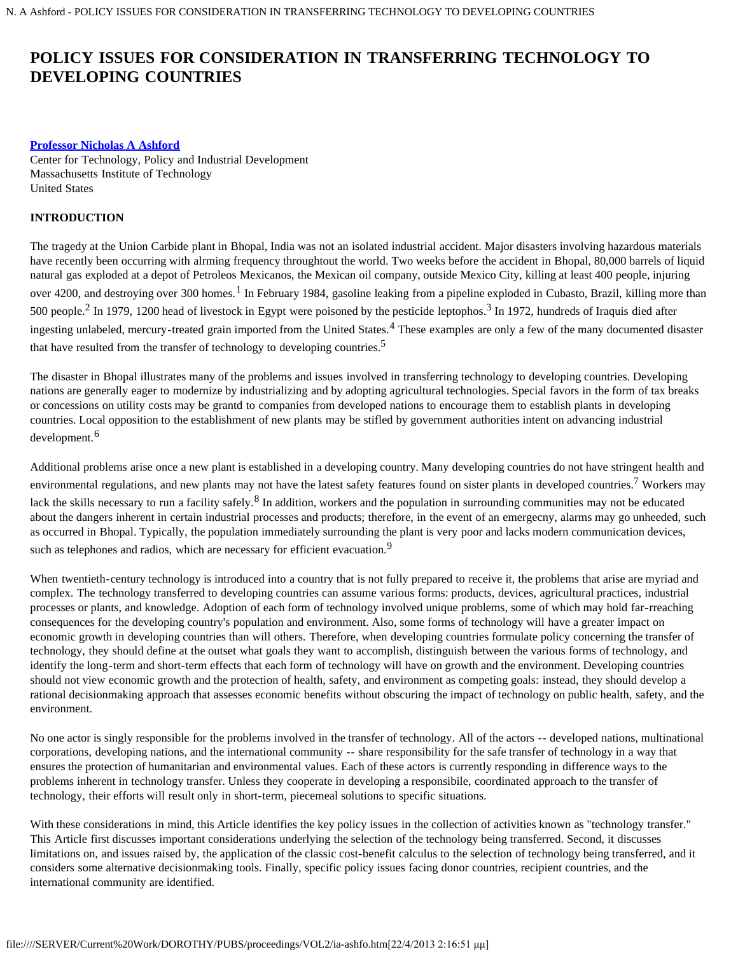## **[Professor Nicholas A Ashford](#page-8-0)**

Center for Technology, Policy and Industrial Development Massachusetts Institute of Technology United States

# **INTRODUCTION**

The tragedy at the Union Carbide plant in Bhopal, India was not an isolated industrial accident. Major disasters involving hazardous materials have recently been occurring with alrming frequency throughtout the world. Two weeks before the accident in Bhopal, 80,000 barrels of liquid natural gas exploded at a depot of Petroleos Mexicanos, the Mexican oil company, outside Mexico City, killing at least 400 people, injuring over 4200, and destroying over 300 homes.<sup>1</sup> In February 1984, gasoline leaking from a pipeline exploded in Cubasto, Brazil, killing more than 500 people.2 In 1979, 1200 head of livestock in Egypt were poisoned by the pesticide leptophos.3 In 1972, hundreds of Iraquis died after ingesting unlabeled, mercury-treated grain imported from the United States.<sup>4</sup> These examples are only a few of the many documented disaster that have resulted from the transfer of technology to developing countries.<sup>5</sup>

The disaster in Bhopal illustrates many of the problems and issues involved in transferring technology to developing countries. Developing nations are generally eager to modernize by industrializing and by adopting agricultural technologies. Special favors in the form of tax breaks or concessions on utility costs may be grantd to companies from developed nations to encourage them to establish plants in developing countries. Local opposition to the establishment of new plants may be stifled by government authorities intent on advancing industrial development.<sup>6</sup>

Additional problems arise once a new plant is established in a developing country. Many developing countries do not have stringent health and environmental regulations, and new plants may not have the latest safety features found on sister plants in developed countries.<sup>7</sup> Workers may lack the skills necessary to run a facility safely.<sup>8</sup> In addition, workers and the population in surrounding communities may not be educated about the dangers inherent in certain industrial processes and products; therefore, in the event of an emergecny, alarms may go unheeded, such as occurred in Bhopal. Typically, the population immediately surrounding the plant is very poor and lacks modern communication devices, such as telephones and radios, which are necessary for efficient evacuation.<sup>9</sup>

When twentieth-century technology is introduced into a country that is not fully prepared to receive it, the problems that arise are myriad and complex. The technology transferred to developing countries can assume various forms: products, devices, agricultural practices, industrial processes or plants, and knowledge. Adoption of each form of technology involved unique problems, some of which may hold far-rreaching consequences for the developing country's population and environment. Also, some forms of technology will have a greater impact on economic growth in developing countries than will others. Therefore, when developing countries formulate policy concerning the transfer of technology, they should define at the outset what goals they want to accomplish, distinguish between the various forms of technology, and identify the long-term and short-term effects that each form of technology will have on growth and the environment. Developing countries should not view economic growth and the protection of health, safety, and environment as competing goals: instead, they should develop a rational decisionmaking approach that assesses economic benefits without obscuring the impact of technology on public health, safety, and the environment.

No one actor is singly responsible for the problems involved in the transfer of technology. All of the actors -- developed nations, multinational corporations, developing nations, and the international community -- share responsibility for the safe transfer of technology in a way that ensures the protection of humanitarian and environmental values. Each of these actors is currently responding in difference ways to the problems inherent in technology transfer. Unless they cooperate in developing a responsibile, coordinated approach to the transfer of technology, their efforts will result only in short-term, piecemeal solutions to specific situations.

With these considerations in mind, this Article identifies the key policy issues in the collection of activities known as "technology transfer." This Article first discusses important considerations underlying the selection of the technology being transferred. Second, it discusses limitations on, and issues raised by, the application of the classic cost-benefit calculus to the selection of technology being transferred, and it considers some alternative decisionmaking tools. Finally, specific policy issues facing donor countries, recipient countries, and the international community are identified.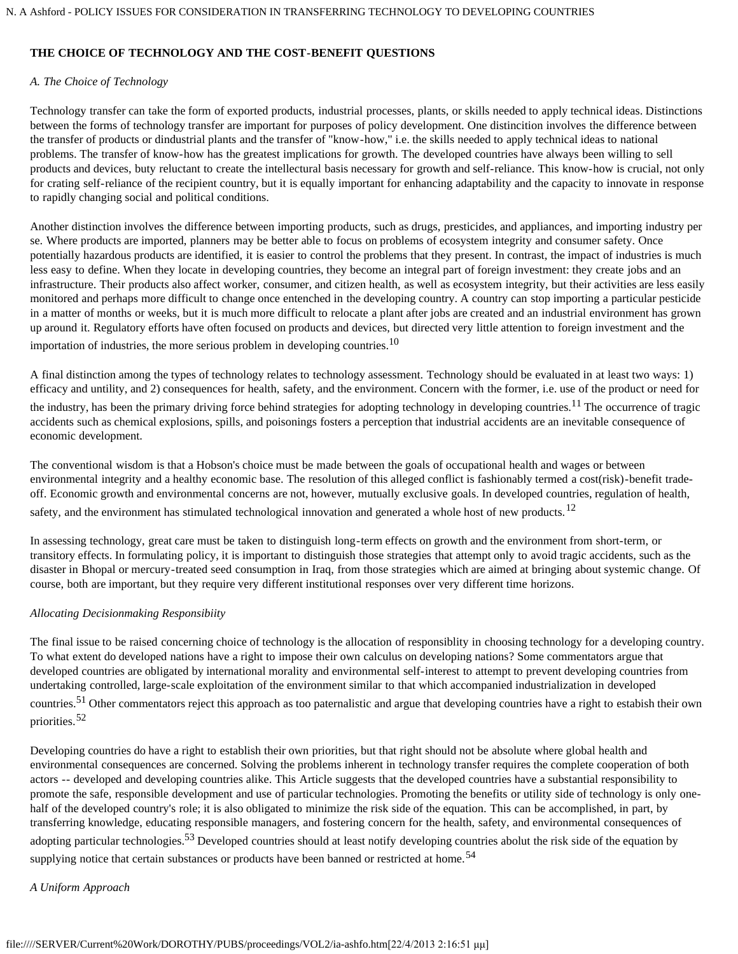# **THE CHOICE OF TECHNOLOGY AND THE COST-BENEFIT QUESTIONS**

# *A. The Choice of Technology*

Technology transfer can take the form of exported products, industrial processes, plants, or skills needed to apply technical ideas. Distinctions between the forms of technology transfer are important for purposes of policy development. One distincition involves the difference between the transfer of products or dindustrial plants and the transfer of "know-how," i.e. the skills needed to apply technical ideas to national problems. The transfer of know-how has the greatest implications for growth. The developed countries have always been willing to sell products and devices, buty reluctant to create the intellectural basis necessary for growth and self-reliance. This know-how is crucial, not only for crating self-reliance of the recipient country, but it is equally important for enhancing adaptability and the capacity to innovate in response to rapidly changing social and political conditions.

Another distinction involves the difference between importing products, such as drugs, presticides, and appliances, and importing industry per se. Where products are imported, planners may be better able to focus on problems of ecosystem integrity and consumer safety. Once potentially hazardous products are identified, it is easier to control the problems that they present. In contrast, the impact of industries is much less easy to define. When they locate in developing countries, they become an integral part of foreign investment: they create jobs and an infrastructure. Their products also affect worker, consumer, and citizen health, as well as ecosystem integrity, but their activities are less easily monitored and perhaps more difficult to change once entenched in the developing country. A country can stop importing a particular pesticide in a matter of months or weeks, but it is much more difficult to relocate a plant after jobs are created and an industrial environment has grown up around it. Regulatory efforts have often focused on products and devices, but directed very little attention to foreign investment and the importation of industries, the more serious problem in developing countries.<sup>10</sup>

A final distinction among the types of technology relates to technology assessment. Technology should be evaluated in at least two ways: 1) efficacy and untility, and 2) consequences for health, safety, and the environment. Concern with the former, i.e. use of the product or need for the industry, has been the primary driving force behind strategies for adopting technology in developing countries.<sup>11</sup> The occurrence of tragic accidents such as chemical explosions, spills, and poisonings fosters a perception that industrial accidents are an inevitable consequence of economic development.

The conventional wisdom is that a Hobson's choice must be made between the goals of occupational health and wages or between environmental integrity and a healthy economic base. The resolution of this alleged conflict is fashionably termed a cost(risk)-benefit tradeoff. Economic growth and environmental concerns are not, however, mutually exclusive goals. In developed countries, regulation of health, safety, and the environment has stimulated technological innovation and generated a whole host of new products.<sup>12</sup>

In assessing technology, great care must be taken to distinguish long-term effects on growth and the environment from short-term, or transitory effects. In formulating policy, it is important to distinguish those strategies that attempt only to avoid tragic accidents, such as the disaster in Bhopal or mercury-treated seed consumption in Iraq, from those strategies which are aimed at bringing about systemic change. Of course, both are important, but they require very different institutional responses over very different time horizons.

# *Allocating Decisionmaking Responsibiity*

The final issue to be raised concerning choice of technology is the allocation of responsiblity in choosing technology for a developing country. To what extent do developed nations have a right to impose their own calculus on developing nations? Some commentators argue that developed countries are obligated by international morality and environmental self-interest to attempt to prevent developing countries from undertaking controlled, large-scale exploitation of the environment similar to that which accompanied industrialization in developed countries.51 Other commentators reject this approach as too paternalistic and argue that developing countries have a right to estabish their own priorities.<sup>52</sup>

Developing countries do have a right to establish their own priorities, but that right should not be absolute where global health and environmental consequences are concerned. Solving the problems inherent in technology transfer requires the complete cooperation of both actors -- developed and developing countries alike. This Article suggests that the developed countries have a substantial responsibility to promote the safe, responsible development and use of particular technologies. Promoting the benefits or utility side of technology is only onehalf of the developed country's role; it is also obligated to minimize the risk side of the equation. This can be accomplished, in part, by transferring knowledge, educating responsible managers, and fostering concern for the health, safety, and environmental consequences of adopting particular technologies.<sup>53</sup> Developed countries should at least notify developing countries abolut the risk side of the equation by supplying notice that certain substances or products have been banned or restricted at home.<sup>54</sup>

# *A Uniform Approach*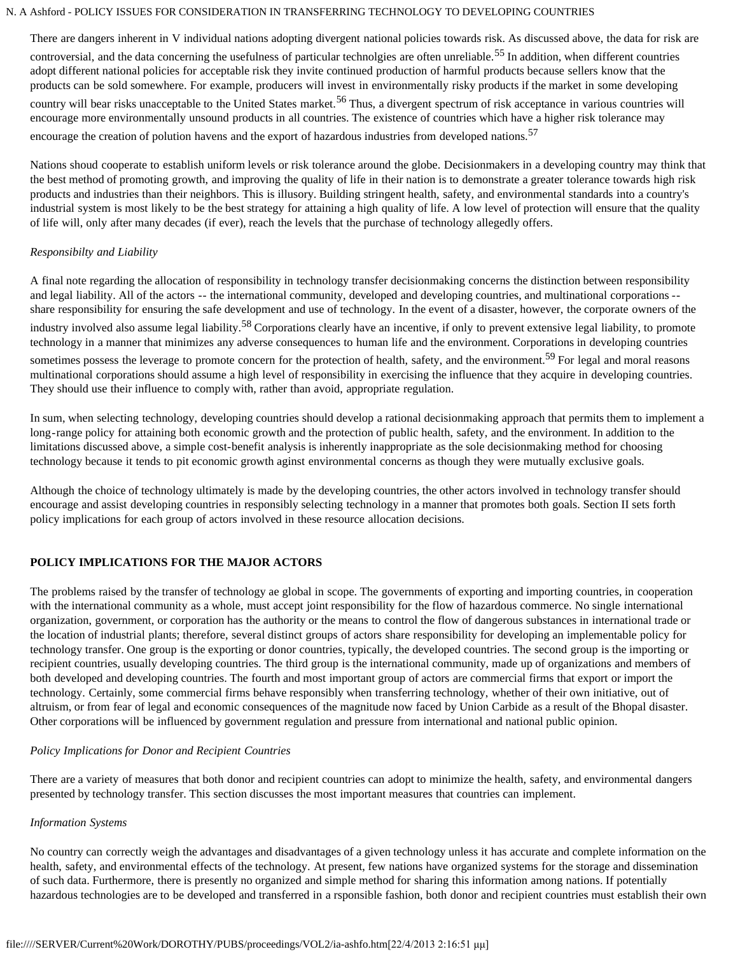There are dangers inherent in V individual nations adopting divergent national policies towards risk. As discussed above, the data for risk are controversial, and the data concerning the usefulness of particular technolgies are often unreliable.<sup>55</sup> In addition, when different countries adopt different national policies for acceptable risk they invite continued production of harmful products because sellers know that the products can be sold somewhere. For example, producers will invest in environmentally risky products if the market in some developing country will bear risks unacceptable to the United States market.<sup>56</sup> Thus, a divergent spectrum of risk acceptance in various countries will encourage more environmentally unsound products in all countries. The existence of countries which have a higher risk tolerance may encourage the creation of polution havens and the export of hazardous industries from developed nations.<sup>57</sup>

Nations shoud cooperate to establish uniform levels or risk tolerance around the globe. Decisionmakers in a developing country may think that the best method of promoting growth, and improving the quality of life in their nation is to demonstrate a greater tolerance towards high risk products and industries than their neighbors. This is illusory. Building stringent health, safety, and environmental standards into a country's industrial system is most likely to be the best strategy for attaining a high quality of life. A low level of protection will ensure that the quality of life will, only after many decades (if ever), reach the levels that the purchase of technology allegedly offers.

# *Responsibilty and Liability*

A final note regarding the allocation of responsibility in technology transfer decisionmaking concerns the distinction between responsibility and legal liability. All of the actors -- the international community, developed and developing countries, and multinational corporations - share responsibility for ensuring the safe development and use of technology. In the event of a disaster, however, the corporate owners of the industry involved also assume legal liability.<sup>58</sup> Corporations clearly have an incentive, if only to prevent extensive legal liability, to promote technology in a manner that minimizes any adverse consequences to human life and the environment. Corporations in developing countries sometimes possess the leverage to promote concern for the protection of health, safety, and the environment.<sup>59</sup> For legal and moral reasons multinational corporations should assume a high level of responsibility in exercising the influence that they acquire in developing countries. They should use their influence to comply with, rather than avoid, appropriate regulation.

In sum, when selecting technology, developing countries should develop a rational decisionmaking approach that permits them to implement a long-range policy for attaining both economic growth and the protection of public health, safety, and the environment. In addition to the limitations discussed above, a simple cost-benefit analysis is inherently inappropriate as the sole decisionmaking method for choosing technology because it tends to pit economic growth aginst environmental concerns as though they were mutually exclusive goals.

Although the choice of technology ultimately is made by the developing countries, the other actors involved in technology transfer should encourage and assist developing countries in responsibly selecting technology in a manner that promotes both goals. Section II sets forth policy implications for each group of actors involved in these resource allocation decisions.

# **POLICY IMPLICATIONS FOR THE MAJOR ACTORS**

The problems raised by the transfer of technology ae global in scope. The governments of exporting and importing countries, in cooperation with the international community as a whole, must accept joint responsibility for the flow of hazardous commerce. No single international organization, government, or corporation has the authority or the means to control the flow of dangerous substances in international trade or the location of industrial plants; therefore, several distinct groups of actors share responsibility for developing an implementable policy for technology transfer. One group is the exporting or donor countries, typically, the developed countries. The second group is the importing or recipient countries, usually developing countries. The third group is the international community, made up of organizations and members of both developed and developing countries. The fourth and most important group of actors are commercial firms that export or import the technology. Certainly, some commercial firms behave responsibly when transferring technology, whether of their own initiative, out of altruism, or from fear of legal and economic consequences of the magnitude now faced by Union Carbide as a result of the Bhopal disaster. Other corporations will be influenced by government regulation and pressure from international and national public opinion.

# *Policy Implications for Donor and Recipient Countries*

There are a variety of measures that both donor and recipient countries can adopt to minimize the health, safety, and environmental dangers presented by technology transfer. This section discusses the most important measures that countries can implement.

#### *Information Systems*

No country can correctly weigh the advantages and disadvantages of a given technology unless it has accurate and complete information on the health, safety, and environmental effects of the technology. At present, few nations have organized systems for the storage and dissemination of such data. Furthermore, there is presently no organized and simple method for sharing this information among nations. If potentially hazardous technologies are to be developed and transferred in a rsponsible fashion, both donor and recipient countries must establish their own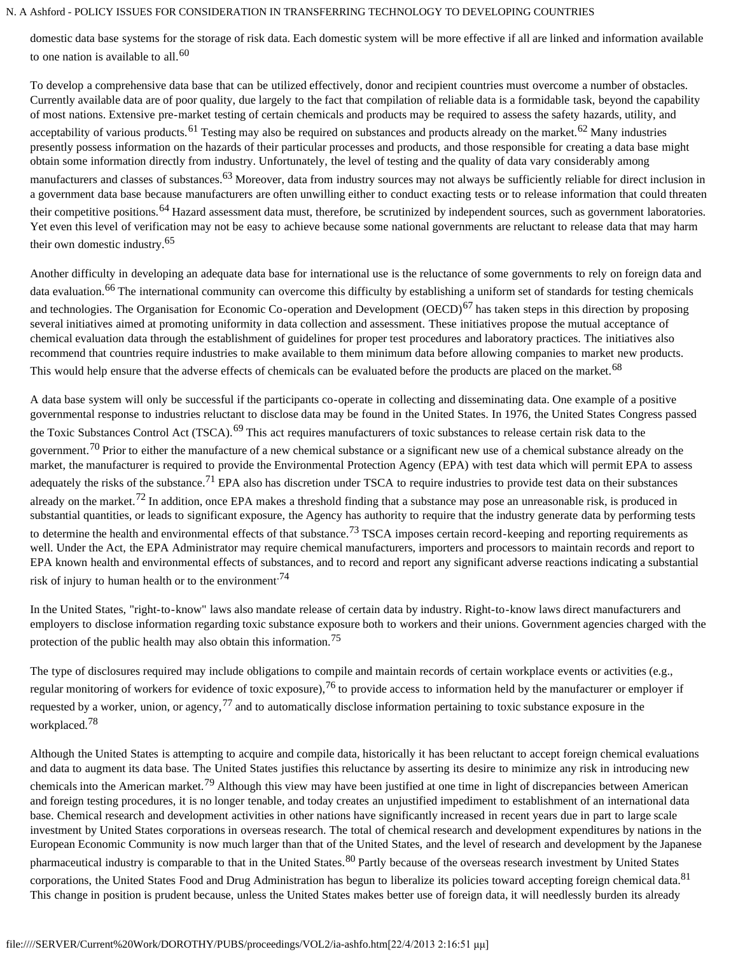domestic data base systems for the storage of risk data. Each domestic system will be more effective if all are linked and information available to one nation is available to all.<sup>60</sup>

To develop a comprehensive data base that can be utilized effectively, donor and recipient countries must overcome a number of obstacles. Currently available data are of poor quality, due largely to the fact that compilation of reliable data is a formidable task, beyond the capability of most nations. Extensive pre-market testing of certain chemicals and products may be required to assess the safety hazards, utility, and acceptability of various products.<sup>61</sup> Testing may also be required on substances and products already on the market.<sup>62</sup> Many industries presently possess information on the hazards of their particular processes and products, and those responsible for creating a data base might obtain some information directly from industry. Unfortunately, the level of testing and the quality of data vary considerably among manufacturers and classes of substances.<sup>63</sup> Moreover, data from industry sources may not always be sufficiently reliable for direct inclusion in a government data base because manufacturers are often unwilling either to conduct exacting tests or to release information that could threaten their competitive positions.<sup>64</sup> Hazard assessment data must, therefore, be scrutinized by independent sources, such as government laboratories. Yet even this level of verification may not be easy to achieve because some national governments are reluctant to release data that may harm their own domestic industry.<sup>65</sup>

Another difficulty in developing an adequate data base for international use is the reluctance of some governments to rely on foreign data and data evaluation.<sup>66</sup> The international community can overcome this difficulty by establishing a uniform set of standards for testing chemicals and technologies. The Organisation for Economic Co-operation and Development (OECD)<sup>67</sup> has taken steps in this direction by proposing several initiatives aimed at promoting uniformity in data collection and assessment. These initiatives propose the mutual acceptance of chemical evaluation data through the establishment of guidelines for proper test procedures and laboratory practices. The initiatives also recommend that countries require industries to make available to them minimum data before allowing companies to market new products. This would help ensure that the adverse effects of chemicals can be evaluated before the products are placed on the market.<sup>68</sup>

A data base system will only be successful if the participants co-operate in collecting and disseminating data. One example of a positive governmental response to industries reluctant to disclose data may be found in the United States. In 1976, the United States Congress passed the Toxic Substances Control Act (TSCA).<sup>69</sup> This act requires manufacturers of toxic substances to release certain risk data to the government.<sup>70</sup> Prior to either the manufacture of a new chemical substance or a significant new use of a chemical substance already on the market, the manufacturer is required to provide the Environmental Protection Agency (EPA) with test data which will permit EPA to assess adequately the risks of the substance.<sup>71</sup> EPA also has discretion under TSCA to require industries to provide test data on their substances already on the market.<sup>72</sup> In addition, once EPA makes a threshold finding that a substance may pose an unreasonable risk, is produced in substantial quantities, or leads to significant exposure, the Agency has authority to require that the industry generate data by performing tests to determine the health and environmental effects of that substance.<sup>73</sup> TSCA imposes certain record-keeping and reporting requirements as well. Under the Act, the EPA Administrator may require chemical manufacturers, importers and processors to maintain records and report to EPA known health and environmental effects of substances, and to record and report any significant adverse reactions indicating a substantial risk of injury to human health or to the environment.<sup>74</sup>

In the United States, "right-to-know" laws also mandate release of certain data by industry. Right-to-know laws direct manufacturers and employers to disclose information regarding toxic substance exposure both to workers and their unions. Government agencies charged with the protection of the public health may also obtain this information.<sup>75</sup>

The type of disclosures required may include obligations to compile and maintain records of certain workplace events or activities (e.g., regular monitoring of workers for evidence of toxic exposure),  $^{76}$  to provide access to information held by the manufacturer or employer if requested by a worker, union, or agency,  $^{77}$  and to automatically disclose information pertaining to toxic substance exposure in the workplaced.<sup>78</sup>

Although the United States is attempting to acquire and compile data, historically it has been reluctant to accept foreign chemical evaluations and data to augment its data base. The United States justifies this reluctance by asserting its desire to minimize any risk in introducing new chemicals into the American market.<sup>79</sup> Although this view may have been justified at one time in light of discrepancies between American and foreign testing procedures, it is no longer tenable, and today creates an unjustified impediment to establishment of an international data base. Chemical research and development activities in other nations have significantly increased in recent years due in part to large scale investment by United States corporations in overseas research. The total of chemical research and development expenditures by nations in the European Economic Community is now much larger than that of the United States, and the level of research and development by the Japanese pharmaceutical industry is comparable to that in the United States.<sup>80</sup> Partly because of the overseas research investment by United States corporations, the United States Food and Drug Administration has begun to liberalize its policies toward accepting foreign chemical data.<sup>81</sup> This change in position is prudent because, unless the United States makes better use of foreign data, it will needlessly burden its already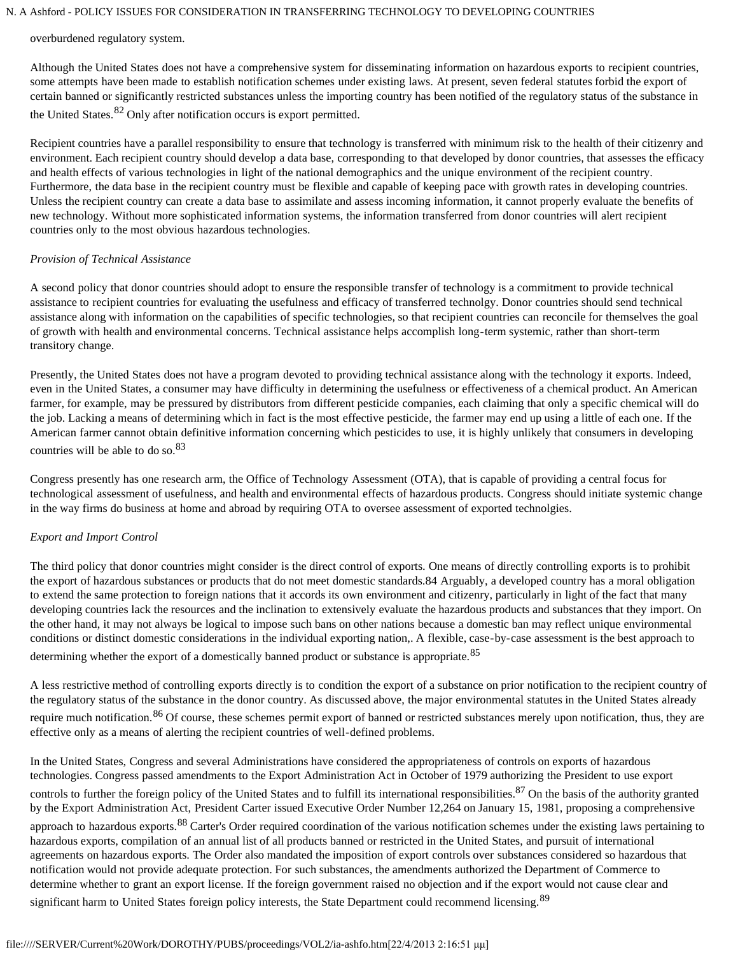#### overburdened regulatory system.

Although the United States does not have a comprehensive system for disseminating information on hazardous exports to recipient countries, some attempts have been made to establish notification schemes under existing laws. At present, seven federal statutes forbid the export of certain banned or significantly restricted substances unless the importing country has been notified of the regulatory status of the substance in the United States.82 Only after notification occurs is export permitted.

Recipient countries have a parallel responsibility to ensure that technology is transferred with minimum risk to the health of their citizenry and environment. Each recipient country should develop a data base, corresponding to that developed by donor countries, that assesses the efficacy and health effects of various technologies in light of the national demographics and the unique environment of the recipient country. Furthermore, the data base in the recipient country must be flexible and capable of keeping pace with growth rates in developing countries. Unless the recipient country can create a data base to assimilate and assess incoming information, it cannot properly evaluate the benefits of new technology. Without more sophisticated information systems, the information transferred from donor countries will alert recipient countries only to the most obvious hazardous technologies.

## *Provision of Technical Assistance*

A second policy that donor countries should adopt to ensure the responsible transfer of technology is a commitment to provide technical assistance to recipient countries for evaluating the usefulness and efficacy of transferred technolgy. Donor countries should send technical assistance along with information on the capabilities of specific technologies, so that recipient countries can reconcile for themselves the goal of growth with health and environmental concerns. Technical assistance helps accomplish long-term systemic, rather than short-term transitory change.

Presently, the United States does not have a program devoted to providing technical assistance along with the technology it exports. Indeed, even in the United States, a consumer may have difficulty in determining the usefulness or effectiveness of a chemical product. An American farmer, for example, may be pressured by distributors from different pesticide companies, each claiming that only a specific chemical will do the job. Lacking a means of determining which in fact is the most effective pesticide, the farmer may end up using a little of each one. If the American farmer cannot obtain definitive information concerning which pesticides to use, it is highly unlikely that consumers in developing countries will be able to do so.<sup>83</sup>

Congress presently has one research arm, the Office of Technology Assessment (OTA), that is capable of providing a central focus for technological assessment of usefulness, and health and environmental effects of hazardous products. Congress should initiate systemic change in the way firms do business at home and abroad by requiring OTA to oversee assessment of exported technolgies.

# *Export and Import Control*

The third policy that donor countries might consider is the direct control of exports. One means of directly controlling exports is to prohibit the export of hazardous substances or products that do not meet domestic standards.84 Arguably, a developed country has a moral obligation to extend the same protection to foreign nations that it accords its own environment and citizenry, particularly in light of the fact that many developing countries lack the resources and the inclination to extensively evaluate the hazardous products and substances that they import. On the other hand, it may not always be logical to impose such bans on other nations because a domestic ban may reflect unique environmental conditions or distinct domestic considerations in the individual exporting nation,. A flexible, case-by-case assessment is the best approach to determining whether the export of a domestically banned product or substance is appropriate.<sup>85</sup>

A less restrictive method of controlling exports directly is to condition the export of a substance on prior notification to the recipient country of the regulatory status of the substance in the donor country. As discussed above, the major environmental statutes in the United States already require much notification.<sup>86</sup> Of course, these schemes permit export of banned or restricted substances merely upon notification, thus, they are effective only as a means of alerting the recipient countries of well-defined problems.

In the United States, Congress and several Administrations have considered the appropriateness of controls on exports of hazardous technologies. Congress passed amendments to the Export Administration Act in October of 1979 authorizing the President to use export controls to further the foreign policy of the United States and to fulfill its international responsibilities.<sup>87</sup> On the basis of the authority granted by the Export Administration Act, President Carter issued Executive Order Number 12,264 on January 15, 1981, proposing a comprehensive approach to hazardous exports.<sup>88</sup> Carter's Order required coordination of the various notification schemes under the existing laws pertaining to hazardous exports, compilation of an annual list of all products banned or restricted in the United States, and pursuit of international agreements on hazardous exports. The Order also mandated the imposition of export controls over substances considered so hazardous that notification would not provide adequate protection. For such substances, the amendments authorized the Department of Commerce to determine whether to grant an export license. If the foreign government raised no objection and if the export would not cause clear and significant harm to United States foreign policy interests, the State Department could recommend licensing.<sup>89</sup>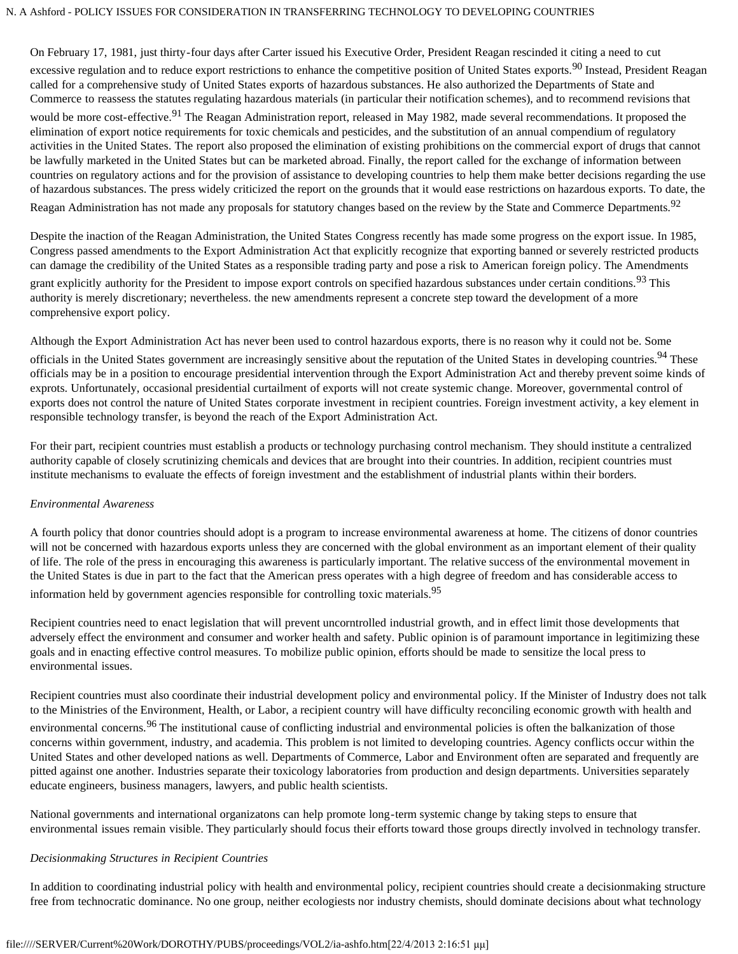On February 17, 1981, just thirty-four days after Carter issued his Executive Order, President Reagan rescinded it citing a need to cut excessive regulation and to reduce export restrictions to enhance the competitive position of United States exports.<sup>90</sup> Instead, President Reagan called for a comprehensive study of United States exports of hazardous substances. He also authorized the Departments of State and Commerce to reassess the statutes regulating hazardous materials (in particular their notification schemes), and to recommend revisions that would be more cost-effective.<sup>91</sup> The Reagan Administration report, released in May 1982, made several recommendations. It proposed the elimination of export notice requirements for toxic chemicals and pesticides, and the substitution of an annual compendium of regulatory activities in the United States. The report also proposed the elimination of existing prohibitions on the commercial export of drugs that cannot be lawfully marketed in the United States but can be marketed abroad. Finally, the report called for the exchange of information between countries on regulatory actions and for the provision of assistance to developing countries to help them make better decisions regarding the use of hazardous substances. The press widely criticized the report on the grounds that it would ease restrictions on hazardous exports. To date, the Reagan Administration has not made any proposals for statutory changes based on the review by the State and Commerce Departments.<sup>92</sup>

Despite the inaction of the Reagan Administration, the United States Congress recently has made some progress on the export issue. In 1985, Congress passed amendments to the Export Administration Act that explicitly recognize that exporting banned or severely restricted products can damage the credibility of the United States as a responsible trading party and pose a risk to American foreign policy. The Amendments grant explicitly authority for the President to impose export controls on specified hazardous substances under certain conditions.<sup>93</sup> This authority is merely discretionary; nevertheless. the new amendments represent a concrete step toward the development of a more comprehensive export policy.

Although the Export Administration Act has never been used to control hazardous exports, there is no reason why it could not be. Some officials in the United States government are increasingly sensitive about the reputation of the United States in developing countries.<sup>94</sup> These officials may be in a position to encourage presidential intervention through the Export Administration Act and thereby prevent soime kinds of exprots. Unfortunately, occasional presidential curtailment of exports will not create systemic change. Moreover, governmental control of exports does not control the nature of United States corporate investment in recipient countries. Foreign investment activity, a key element in responsible technology transfer, is beyond the reach of the Export Administration Act.

For their part, recipient countries must establish a products or technology purchasing control mechanism. They should institute a centralized authority capable of closely scrutinizing chemicals and devices that are brought into their countries. In addition, recipient countries must institute mechanisms to evaluate the effects of foreign investment and the establishment of industrial plants within their borders.

# *Environmental Awareness*

A fourth policy that donor countries should adopt is a program to increase environmental awareness at home. The citizens of donor countries will not be concerned with hazardous exports unless they are concerned with the global environment as an important element of their quality of life. The role of the press in encouraging this awareness is particularly important. The relative success of the environmental movement in the United States is due in part to the fact that the American press operates with a high degree of freedom and has considerable access to information held by government agencies responsible for controlling toxic materials.<sup>95</sup>

Recipient countries need to enact legislation that will prevent uncorntrolled industrial growth, and in effect limit those developments that adversely effect the environment and consumer and worker health and safety. Public opinion is of paramount importance in legitimizing these goals and in enacting effective control measures. To mobilize public opinion, efforts should be made to sensitize the local press to environmental issues.

Recipient countries must also coordinate their industrial development policy and environmental policy. If the Minister of Industry does not talk to the Ministries of the Environment, Health, or Labor, a recipient country will have difficulty reconciling economic growth with health and environmental concerns.<sup>96</sup> The institutional cause of conflicting industrial and environmental policies is often the balkanization of those concerns within government, industry, and academia. This problem is not limited to developing countries. Agency conflicts occur within the United States and other developed nations as well. Departments of Commerce, Labor and Environment often are separated and frequently are pitted against one another. Industries separate their toxicology laboratories from production and design departments. Universities separately educate engineers, business managers, lawyers, and public health scientists.

National governments and international organizatons can help promote long-term systemic change by taking steps to ensure that environmental issues remain visible. They particularly should focus their efforts toward those groups directly involved in technology transfer.

# *Decisionmaking Structures in Recipient Countries*

In addition to coordinating industrial policy with health and environmental policy, recipient countries should create a decisionmaking structure free from technocratic dominance. No one group, neither ecologiests nor industry chemists, should dominate decisions about what technology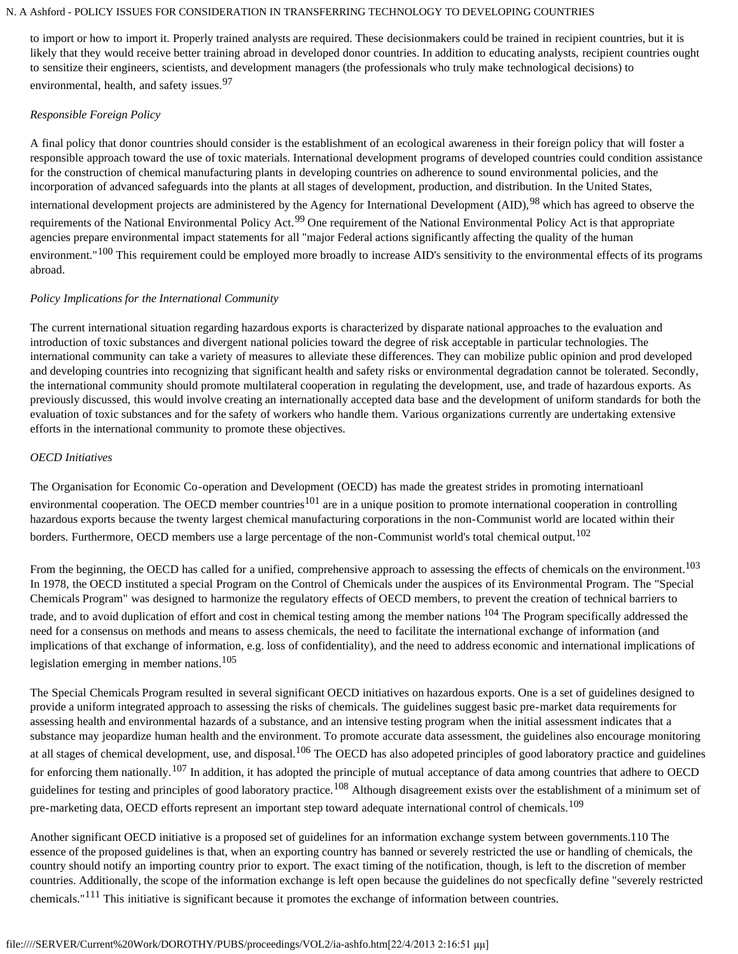to import or how to import it. Properly trained analysts are required. These decisionmakers could be trained in recipient countries, but it is likely that they would receive better training abroad in developed donor countries. In addition to educating analysts, recipient countries ought to sensitize their engineers, scientists, and development managers (the professionals who truly make technological decisions) to environmental, health, and safety issues.<sup>97</sup>

# *Responsible Foreign Policy*

A final policy that donor countries should consider is the establishment of an ecological awareness in their foreign policy that will foster a responsible approach toward the use of toxic materials. International development programs of developed countries could condition assistance for the construction of chemical manufacturing plants in developing countries on adherence to sound environmental policies, and the incorporation of advanced safeguards into the plants at all stages of development, production, and distribution. In the United States, international development projects are administered by the Agency for International Development (AID), <sup>98</sup> which has agreed to observe the requirements of the National Environmental Policy Act.<sup>99</sup> One requirement of the National Environmental Policy Act is that appropriate agencies prepare environmental impact statements for all "major Federal actions significantly affecting the quality of the human environment."<sup>100</sup> This requirement could be employed more broadly to increase AID's sensitivity to the environmental effects of its programs abroad.

# *Policy Implications for the International Community*

The current international situation regarding hazardous exports is characterized by disparate national approaches to the evaluation and introduction of toxic substances and divergent national policies toward the degree of risk acceptable in particular technologies. The international community can take a variety of measures to alleviate these differences. They can mobilize public opinion and prod developed and developing countries into recognizing that significant health and safety risks or environmental degradation cannot be tolerated. Secondly, the international community should promote multilateral cooperation in regulating the development, use, and trade of hazardous exports. As previously discussed, this would involve creating an internationally accepted data base and the development of uniform standards for both the evaluation of toxic substances and for the safety of workers who handle them. Various organizations currently are undertaking extensive efforts in the international community to promote these objectives.

# *OECD Initiatives*

The Organisation for Economic Co-operation and Development (OECD) has made the greatest strides in promoting internatioanl environmental cooperation. The OECD member countries<sup>101</sup> are in a unique position to promote international cooperation in controlling hazardous exports because the twenty largest chemical manufacturing corporations in the non-Communist world are located within their borders. Furthermore, OECD members use a large percentage of the non-Communist world's total chemical output.<sup>102</sup>

From the beginning, the OECD has called for a unified, comprehensive approach to assessing the effects of chemicals on the environment.<sup>103</sup> In 1978, the OECD instituted a special Program on the Control of Chemicals under the auspices of its Environmental Program. The "Special Chemicals Program" was designed to harmonize the regulatory effects of OECD members, to prevent the creation of technical barriers to trade, and to avoid duplication of effort and cost in chemical testing among the member nations <sup>104</sup> The Program specifically addressed the need for a consensus on methods and means to assess chemicals, the need to facilitate the international exchange of information (and implications of that exchange of information, e.g. loss of confidentiality), and the need to address economic and international implications of legislation emerging in member nations.<sup>105</sup>

The Special Chemicals Program resulted in several significant OECD initiatives on hazardous exports. One is a set of guidelines designed to provide a uniform integrated approach to assessing the risks of chemicals. The guidelines suggest basic pre-market data requirements for assessing health and environmental hazards of a substance, and an intensive testing program when the initial assessment indicates that a substance may jeopardize human health and the environment. To promote accurate data assessment, the guidelines also encourage monitoring at all stages of chemical development, use, and disposal.<sup>106</sup> The OECD has also adopeted principles of good laboratory practice and guidelines for enforcing them nationally.<sup>107</sup> In addition, it has adopted the principle of mutual acceptance of data among countries that adhere to OECD guidelines for testing and principles of good laboratory practice.<sup>108</sup> Although disagreement exists over the establishment of a minimum set of pre-marketing data, OECD efforts represent an important step toward adequate international control of chemicals.<sup>109</sup>

Another significant OECD initiative is a proposed set of guidelines for an information exchange system between governments.110 The essence of the proposed guidelines is that, when an exporting country has banned or severely restricted the use or handling of chemicals, the country should notify an importing country prior to export. The exact timing of the notification, though, is left to the discretion of member countries. Additionally, the scope of the information exchange is left open because the guidelines do not specfically define "severely restricted chemicals."111 This initiative is significant because it promotes the exchange of information between countries.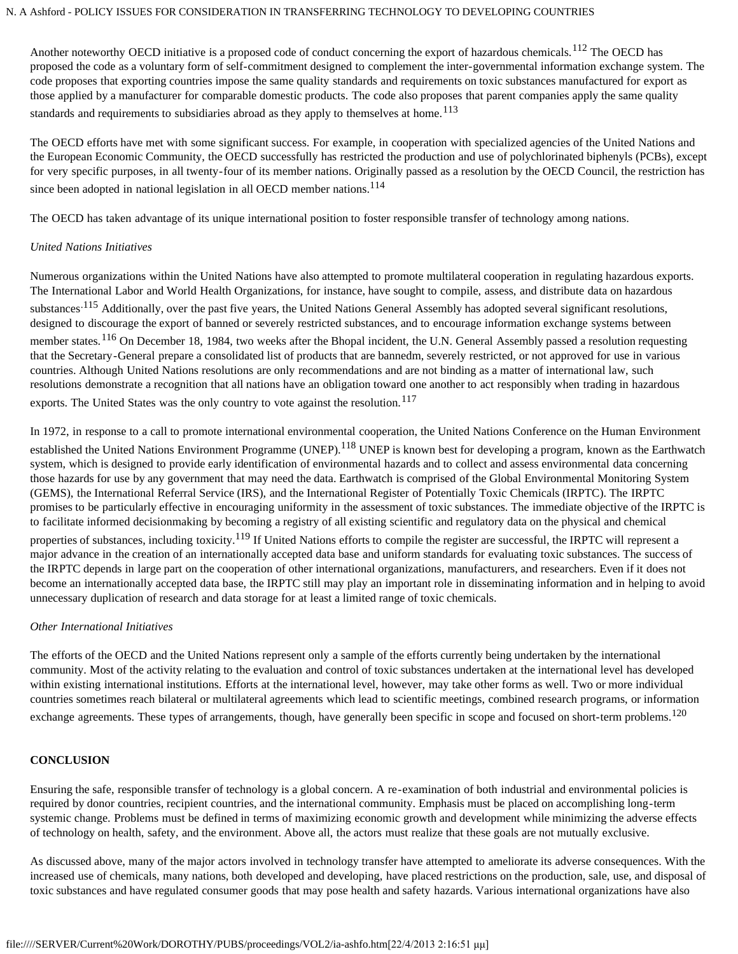Another noteworthy OECD initiative is a proposed code of conduct concerning the export of hazardous chemicals.<sup>112</sup> The OECD has proposed the code as a voluntary form of self-commitment designed to complement the inter-governmental information exchange system. The code proposes that exporting countries impose the same quality standards and requirements on toxic substances manufactured for export as those applied by a manufacturer for comparable domestic products. The code also proposes that parent companies apply the same quality standards and requirements to subsidiaries abroad as they apply to themselves at home.<sup>113</sup>

The OECD efforts have met with some significant success. For example, in cooperation with specialized agencies of the United Nations and the European Economic Community, the OECD successfully has restricted the production and use of polychlorinated biphenyls (PCBs), except for very specific purposes, in all twenty-four of its member nations. Originally passed as a resolution by the OECD Council, the restriction has since been adopted in national legislation in all OECD member nations.<sup>114</sup>

The OECD has taken advantage of its unique international position to foster responsible transfer of technology among nations.

## *United Nations Initiatives*

Numerous organizations within the United Nations have also attempted to promote multilateral cooperation in regulating hazardous exports. The International Labor and World Health Organizations, for instance, have sought to compile, assess, and distribute data on hazardous substances<sup>.115</sup> Additionally, over the past five years, the United Nations General Assembly has adopted several significant resolutions, designed to discourage the export of banned or severely restricted substances, and to encourage information exchange systems between member states.<sup>116</sup> On December 18, 1984, two weeks after the Bhopal incident, the U.N. General Assembly passed a resolution requesting that the Secretary-General prepare a consolidated list of products that are bannedm, severely restricted, or not approved for use in various countries. Although United Nations resolutions are only recommendations and are not binding as a matter of international law, such resolutions demonstrate a recognition that all nations have an obligation toward one another to act responsibly when trading in hazardous exports. The United States was the only country to vote against the resolution.<sup>117</sup>

In 1972, in response to a call to promote international environmental cooperation, the United Nations Conference on the Human Environment established the United Nations Environment Programme (UNEP).<sup>118</sup> UNEP is known best for developing a program, known as the Earthwatch system, which is designed to provide early identification of environmental hazards and to collect and assess environmental data concerning those hazards for use by any government that may need the data. Earthwatch is comprised of the Global Environmental Monitoring System (GEMS), the International Referral Service (IRS), and the International Register of Potentially Toxic Chemicals (IRPTC). The IRPTC promises to be particularly effective in encouraging uniformity in the assessment of toxic substances. The immediate objective of the IRPTC is to facilitate informed decisionmaking by becoming a registry of all existing scientific and regulatory data on the physical and chemical properties of substances, including toxicity.<sup>119</sup> If United Nations efforts to compile the register are successful, the IRPTC will represent a major advance in the creation of an internationally accepted data base and uniform standards for evaluating toxic substances. The success of the IRPTC depends in large part on the cooperation of other international organizations, manufacturers, and researchers. Even if it does not become an internationally accepted data base, the IRPTC still may play an important role in disseminating information and in helping to avoid unnecessary duplication of research and data storage for at least a limited range of toxic chemicals.

# *Other International Initiatives*

The efforts of the OECD and the United Nations represent only a sample of the efforts currently being undertaken by the international community. Most of the activity relating to the evaluation and control of toxic substances undertaken at the international level has developed within existing international institutions. Efforts at the international level, however, may take other forms as well. Two or more individual countries sometimes reach bilateral or multilateral agreements which lead to scientific meetings, combined research programs, or information exchange agreements. These types of arrangements, though, have generally been specific in scope and focused on short-term problems.<sup>120</sup>

#### **CONCLUSION**

Ensuring the safe, responsible transfer of technology is a global concern. A re-examination of both industrial and environmental policies is required by donor countries, recipient countries, and the international community. Emphasis must be placed on accomplishing long-term systemic change. Problems must be defined in terms of maximizing economic growth and development while minimizing the adverse effects of technology on health, safety, and the environment. Above all, the actors must realize that these goals are not mutually exclusive.

As discussed above, many of the major actors involved in technology transfer have attempted to ameliorate its adverse consequences. With the increased use of chemicals, many nations, both developed and developing, have placed restrictions on the production, sale, use, and disposal of toxic substances and have regulated consumer goods that may pose health and safety hazards. Various international organizations have also